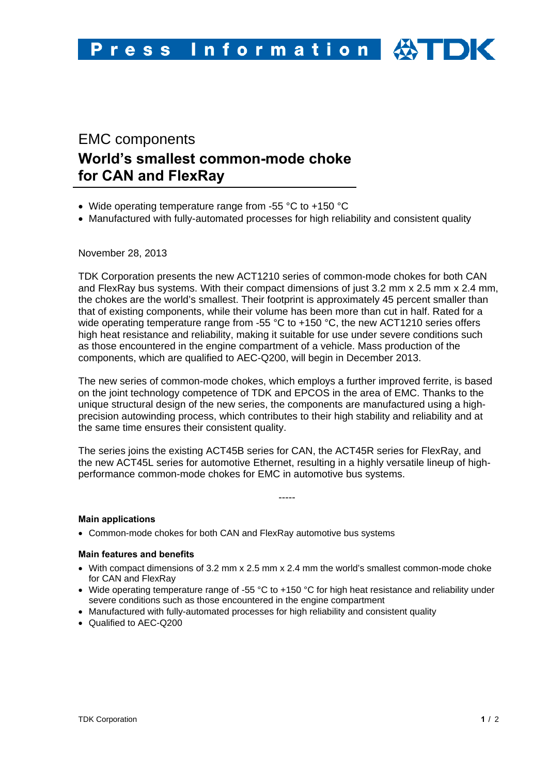# EMC components **World's smallest common-mode choke for CAN and FlexRay**

- Wide operating temperature range from -55 °C to +150 °C
- Manufactured with fully-automated processes for high reliability and consistent quality

November 28, 2013

TDK Corporation presents the new ACT1210 series of common-mode chokes for both CAN and FlexRay bus systems. With their compact dimensions of just 3.2 mm x 2.5 mm x 2.4 mm, the chokes are the world's smallest. Their footprint is approximately 45 percent smaller than that of existing components, while their volume has been more than cut in half. Rated for a wide operating temperature range from -55  $\degree$ C to +150  $\degree$ C, the new ACT1210 series offers high heat resistance and reliability, making it suitable for use under severe conditions such as those encountered in the engine compartment of a vehicle. Mass production of the components, which are qualified to AEC-Q200, will begin in December 2013.

The new series of common-mode chokes, which employs a further improved ferrite, is based on the joint technology competence of TDK and EPCOS in the area of EMC. Thanks to the unique structural design of the new series, the components are manufactured using a highprecision autowinding process, which contributes to their high stability and reliability and at the same time ensures their consistent quality.

The series joins the existing ACT45B series for CAN, the ACT45R series for FlexRay, and the new ACT45L series for automotive Ethernet, resulting in a highly versatile lineup of highperformance common-mode chokes for EMC in automotive bus systems.

-----

## **Main applications**

• Common-mode chokes for both CAN and FlexRay automotive bus systems

#### **Main features and benefits**

- With compact dimensions of 3.2 mm x 2.5 mm x 2.4 mm the world's smallest common-mode choke for CAN and FlexRay
- Wide operating temperature range of -55 °C to +150 °C for high heat resistance and reliability under severe conditions such as those encountered in the engine compartment
- Manufactured with fully-automated processes for high reliability and consistent quality
- Qualified to AEC-Q200